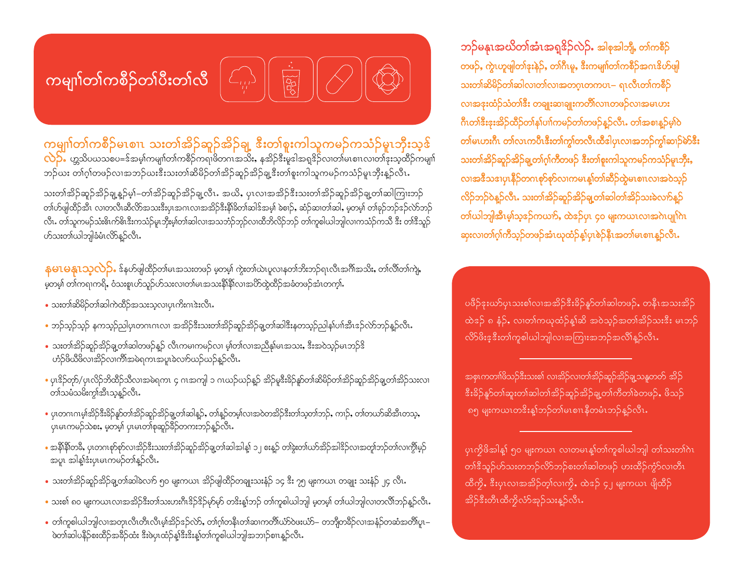<mark>ဘဉ်မနုၤအဃိတၢ်အံၤအရု<sup>စ္</sup>ဉ်လ</mark>ဲဉ်• အါစုအါဘို<sub>၊</sub> တါကစိဉ် <mark>တဖဉ်, ကွဲၤဟူဖျ</mark>ါတၢ်<mark>ႏးန</mark>ဲ့ဉ်, တ၊်ဂီၤမူ, ဒီးကမျာ်တ၊်ကစိဉ်အဂၤဒိဟ်ဖျါ သးတၢ်ဆိမိဉ်တၢ်ဆါလ၊တ၊်လ၊အတဂ္ဂၤတကပၤ– ရၤလီၤတၢ်ကစိဉ် လၢအ<mark>ႏးထံ</mark>ဉ်သံတၢိနီး တချုးဆ၊ချုးကတိါလၢၤတဖဉ်လ၊အမၤဟး ဂီၤတၢိအီးအုးအိဉ်ထိဉ်တ၊်နှၤ်ပၢါကမဉ်တၢ်တဖဉ်နည်လ<mark>ီး</mark>. တ၊်အစၢနူဉ်မှ၊်ဝဲ တါမၤဟးဂိၢ တါလၤကပိၤဒီးတါကွါတလီၤထီဒါပှၤလၢအဘဉ်ကွါဆၢဉ်မ<mark>်ာ</mark>ဒီး သးတၢ်အိဉ်ဆူဉ်အိဉ်ချ့တၢ်ဂဲ့ကီတဖဉ် ဒီးတ၊်စူးကါသူကမဉ်ကသံဉ်မူးဘိုး**,** လၢအၓိသၖၢၦၤနီဉ်တဂၤစုာ်စုာ်လ၊ကမၤန္နါတၢ်ဆီဉ်ထွဲမၤစၢၤလၢအဝဲသုဉ် လိဉ်ဘဉ်ဝဲနဉ်လီၤ. သးတၢ်အိဉ်ဆူဉ်အိဉ်<mark>ရ</mark>ု့တ၊်ဆါတ၊်အိဉ်သးခဲလက်နူဉ် တ<mark>်ယါဘျ</mark>၊အီးမ့္<mark>သ</mark>်ာအ့ခ်ကယက်, ထဲအိုပှာ ၄၀ မျးကယာလာအကဲပျုက်ပ ဆုးလ၊တၢ်ဂ့ၢ်ကီသ့ဉ်တဖဉ်အံၤဃုထံဉ်န့၊်ပှၤစဲဉ်နီၤအတၢ်မၤစၢၤန့ဉ်လီး**.** 

.<br>ပဖိဉ်ဒူးယာ်ပှၤသးစါလၢအအိဉ်ဒီးခိဉ်နူာ်တါဆါတဖဉ်**,** တနီၤအသးအိဉ် ထဲဒဉ် ၈ နံဉ်, လ၊တၢ်ကယုထံဉ်န့ၢ်ဆိ အဝဲသ့ဉ်အတၢ်အိဉ်သးဒီး မၤဘဉ် လိ>်ဖိးဒ့ဒီးတၢ်ကူစါယါဘျါလၢအကြၤးအဘဉ်အလိၢိန္ဉ်လိၤ

.<br>အစုၤကတၢါဖိသဉ်ဒီးသးစါ လၢအိဉ်လ၊တါအိဉ်ဆူဉ်အိဉ်ချသနူတတ် အိဉ် းိးခိဉ်နူာ်တါဆူးတါဆါတါအိဉ်ဆူဉ်အိဉ်ချ့တါကီတါခဲတဖဉ်**,** ဖိသဉ် ၈၅ မျးကယၤတၖိးန္1်ဘဉ်တါမၤစၢၤနီတမံၤဘဉ်န္ဉာ်လီၤ

ပှၤကို<sup>ဖွ</sup>အါန့<sup>6</sup> ၅၀ မျးကယၤ လၢတမၤန္1်တၢ်ကူစါယါဘျါ တၢ်သးတၢ်ဂဲၤ တၢ်ဒီသူဉ်ဟ်သးတဘဉ်လိာ်ဘဉ်စးတၢ်ဆါတဖဉ် ဟးထိဉ်ကွံာ်လ၊တိၤ ထီကို, ဒီးပုၤလၢအအိဉ်တ့ၢ်လၢကို, ထဲဒဉ် ၄၂ မျးကယၤ ဖျိထိဉ် <u>အိဉ်ဒီးတီၤထိကိုလံာ်အုဉ်သးနဉ်လီၤ.</u>

သးတၢ်အိဉ်ဆူဉ်အိဉ်ချ့နှဉ်မ့)်–တၢ်အိဉ်ဆူဉ်အိဉ်ချ့လီၤႉ အယိႇ ပုၤလၢအအိဉ်ဒီးသးတၢ်အိဉ်ဆူဉ်အိဉ်ချ့တၢ်ဆါကြားဘှာ် ာက်ပေါ်ထိုင်း လောက်သိုလ်ကြသေးနောက် အသင်းနေ့သည် အသင်း အသင်း အသင်း မိသည် အသင်း မိသည် အသင်း လောက် အသင်း လီၤ. တါသူကမဉ်သံးဓိၤက်ဓိၤဒီးကသံဉ်မူၤဘိုးမ့ါတါဆါလ၊အသဘံဉ်ဘုဉ်လ၊ထိဘိလိဉ်ဘဉ် တါကူစါယါဘျါလ၊ကသံဉ်ကသိ ဒီး တါဒီသူဉ်

<mark>နမၤမနုၤသ့လ</mark>ဲဉ်• န်နဟ်ဖျထိဉ်တါမၤအသးတဖဉ် မ့တမ့်၊ ကွဲးတါယဲၤပူလၢနတၢ်ဘိးဘဉ်ရၤလီၤအဂိါအသိးႇ တၢဴလိၢ်တၢ်ကျဲႇ .<br>မှတမ့်၊ တါကရ၊ကရိ, ဝံသးစူ၊ဟ်သူဉ်ဟ်သးလ၊တါမၤအသးနိ1နို၊လ၊အဟိထွဲထိဉ်အခံတဖဉ်အံၤတက့ါ.

ကမျှ၊)တ)ကစိဉ်မၤစၢၤ သးတၢ်အိဉ်ဆူဉ်အိဉ်ချ့ ဒီးတ၊်စူးကါသူကမဉ်ကသံဉ်မူၤဘိုးသ့ဒ်

လဲြော် ဟ္တသိပဃသစပ=ဒ်အမ့)်ကမျာ်တာကစိဉ်ကရာဖိတဂၤအသိႏႇ နအိဉ်ဒီးမူဒါအရှုဒိဉ်လ၊တါမၤစၢၤလ၊တါဒုးသ့ထိဉ်ကမျာ်

ဘဉ်ယး တၢ်ဂ့ၢ်တဖဉ်လၢအဘဉ်ယးဒီးသးတၢ်ဆိမိဉ်တၢ်အိဉ်ဆူဉ်အိဉ်ချ့ဒီးတ၊်စူးကါသူကမဉ်ကသံဉ်မူၤဘိုးန့ဉ်လီၤ**.** 

• သးတၢ်ဆိမိဉ်တၢ်ဆါကဲထိဉ်အသးသ့လ၊ပှၤကိးဂၤဒဲးလိၤ.

ဟ်သးတါယါဘူါခံမံၤလိ>န့ဉ်လီၤ.

- ဘဉ်သ့ဉ်သုဉ် နကသုဉ်ညါပှၤတဂၤဂၤလ၊ အအိဉ်ဒီးသးတၢ်အိဉ်ဆူဉ်အိဉ်ချ့တ၊်ဆါဒီးနတသုဉ်ညါန၊်ပၢါအီၤဒဉ်လ်ာဘဉ်နှဉ်လီၤ
- သးတၢ်အိဉ်ဆူဉ်အိဉ်ချ့တ၊်ဆါတဖဉ်နှဉ် လီၤကမၢကမဉ်လ၊ မ့၊်တ၊်လ၊အညီနှ၊်မၤအသး, ဒီးအဝဲသုဉ်မ၊ဘဉ်ဒိ ဟံဉ်ဖိယိဖိလၢအိဉ်လ၊ကိၢိအမဲရကၤအပူ၊ခဲလက်ယဉ်ယဉ်နဉ်လိၤ**.**
- ပှၤနိဉ်တှာ်/ပှၤလိဉ်ဘိထိဉ်သီလ၊အမဲရကၤ ၄ ဂၤအကျါ ၁ ဂၤယဉ်ယဉ်နှဉ် အိဉ်မူနီးခိဉ်နူာ်တ၊်ဆိမိဉ်တ၊်အိဉ်ဆူဉ်အိဉ်ချ့တ၊်အိဉ်သးလ၊ တၢ်သမံသမိးကွ၊်အီၤသ့န့်ဉ်လီၤ.
- ပှ၊တဂၤဂၤမ့ါအိဉ်ဒီးခိဉ်နူာ်တါအိဉ်ဆူဉ်အိဉ်ချ့တါဆါန္β်, တါန္နာ်တမ့ါလ၊အဝဲတအိဉ်ဒီးတါသ့တါဘဉ်, ကၢဉ်, တါတယာ်ဆိအီ၊တသ့, ပှၤမၤကမဉ်သဲစး, မ့တမ့ါ ပှၤမၤတၢ်စုဆူဉ်ခိဉ်တကးဘဉ်နှဉ်လိၤ.
- အနိါနိ1်တခ်ိႇ ပုၤတဂၤစှာ်စုာ်လၢအိဉ်ဒီးသးတ1်အိဉ်ဆူဉ်အိဉ်ချ့တ1်ဆါအါန့1် ၁၂ စးနူဉ် တ1်ွနတ1်ယာ်အိဉ်အါဒိဉ်လၢအတူ1်ဘဉ်တ1်လ၊ကွိၤမ့ဉ် အပူး အါန့ါ်ဒီးပုံးမႈကမဉ်တါနဉ်လီး.
- သးတၢ်အိဉ်ဆူဉ်အိဉ်ချ့တ၊်ဆါခဲလက် ၅ဝ မျးကယၤ အိဉ်ဖျါထိဉ်တချုးသးနံဉ် ၁၄ ဒီး ၇၅ မျးကယၤ တချုး သးနံဉ် ၂၄ လိၤ.
- သးစါ ၈၀ မျးကယၤလၢအအိဉ်ဒီးတါသးဟးဂိၢဒိဉ်ဒိဉ်မှာ်မှာ တဒိးန့ါဘဉ် တါကူစါယါဘျါ မ့တမ့ါ တါယါဘျါလ၊တလိါဘဉ်န့ဉ်လိၤ
- တါကူစါယါဘျါလၢအတုၤလီၤတိၤလိၤမ့ါအိဉ်ၖဉ်လ်ာ်, တါဂုါတနိၤတါဆၢကတိါယ်ာ်ဝဲဖးယ်ာ်– တဘိုတခိဉ်လၢအနံဉ်တဆံအတိါပူ၊– ဖဲတၢ်ဆါပနိဉ်စးထိဉ်အခိဉ်ထံး ဒီးဖဲပှၤထံဉ်န့်၊ဒီးဒိးန့၊်တၢ်ကူစါယါဘျါအဘၢဉ်စၢၤန္ဉာလိၤႉ

## ကမျာ<mark>ါ်</mark>တါကစီဉ်တါပီးတါလီ